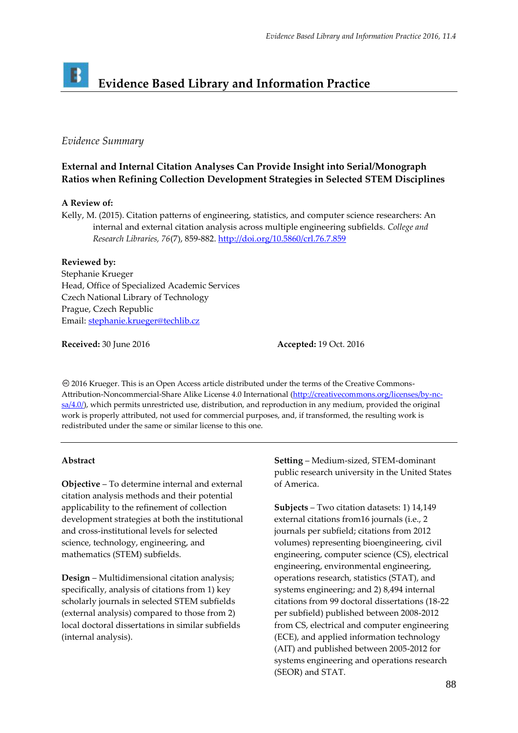## B **Evidence Based Library and Information Practice**

## *Evidence Summary*

# **External and Internal Citation Analyses Can Provide Insight into Serial/Monograph Ratios when Refining Collection Development Strategies in Selected STEM Disciplines**

### **A Review of:**

Kelly, M. (2015). Citation patterns of engineering, statistics, and computer science researchers: An internal and external citation analysis across multiple engineering subfields. *College and Research Libraries, 76*(7), 859-882.<http://doi.org/10.5860/crl.76.7.859>

# **Reviewed by:**

Stephanie Krueger Head, Office of Specialized Academic Services Czech National Library of Technology Prague, Czech Republic Email[: stephanie.krueger@techlib.cz](mailto:stephanie.krueger@techlib.cz)

**Received:** 30 June 2016 **Accepted:** 19 Oct. 2016

2016 Krueger. This is an Open Access article distributed under the terms of the Creative Commons‐ Attribution-Noncommercial-Share Alike License 4.0 International [\(http://creativecommons.org/licenses/by-nc](http://creativecommons.org/licenses/by-nc-sa/4.0/)[sa/4.0/\)](http://creativecommons.org/licenses/by-nc-sa/4.0/), which permits unrestricted use, distribution, and reproduction in any medium, provided the original work is properly attributed, not used for commercial purposes, and, if transformed, the resulting work is redistributed under the same or similar license to this one.

### **Abstract**

**Objective** – To determine internal and external citation analysis methods and their potential applicability to the refinement of collection development strategies at both the institutional and cross-institutional levels for selected science, technology, engineering, and mathematics (STEM) subfields.

**Design** – Multidimensional citation analysis; specifically, analysis of citations from 1) key scholarly journals in selected STEM subfields (external analysis) compared to those from 2) local doctoral dissertations in similar subfields (internal analysis).

**Setting** – Medium-sized, STEM-dominant public research university in the United States of America.

**Subjects** – Two citation datasets: 1) 14,149 external citations from16 journals (i.e., 2 journals per subfield; citations from 2012 volumes) representing bioengineering, civil engineering, computer science (CS), electrical engineering, environmental engineering, operations research, statistics (STAT), and systems engineering; and 2) 8,494 internal citations from 99 doctoral dissertations (18-22 per subfield) published between 2008-2012 from CS, electrical and computer engineering (ECE), and applied information technology (AIT) and published between 2005-2012 for systems engineering and operations research (SEOR) and STAT.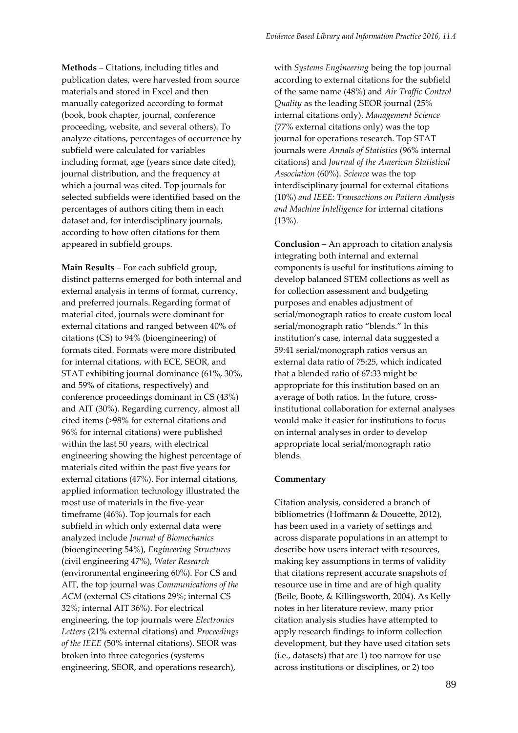**Methods** – Citations, including titles and publication dates, were harvested from source materials and stored in Excel and then manually categorized according to format (book, book chapter, journal, conference proceeding, website, and several others). To analyze citations, percentages of occurrence by subfield were calculated for variables including format, age (years since date cited), journal distribution, and the frequency at which a journal was cited. Top journals for selected subfields were identified based on the percentages of authors citing them in each dataset and, for interdisciplinary journals, according to how often citations for them appeared in subfield groups.

**Main Results** – For each subfield group, distinct patterns emerged for both internal and external analysis in terms of format, currency, and preferred journals. Regarding format of material cited, journals were dominant for external citations and ranged between 40% of citations (CS) to 94% (bioengineering) of formats cited. Formats were more distributed for internal citations, with ECE, SEOR, and STAT exhibiting journal dominance (61%, 30%, and 59% of citations, respectively) and conference proceedings dominant in CS (43%) and AIT (30%). Regarding currency, almost all cited items (>98% for external citations and 96% for internal citations) were published within the last 50 years, with electrical engineering showing the highest percentage of materials cited within the past five years for external citations (47%). For internal citations, applied information technology illustrated the most use of materials in the five-year timeframe (46%). Top journals for each subfield in which only external data were analyzed include *Journal of Biomechanics* (bioengineering 54%), *Engineering Structures* (civil engineering 47%), *Water Research* (environmental engineering 60%). For CS and AIT, the top journal was *Communications of the ACM* (external CS citations 29%; internal CS 32%; internal AIT 36%). For electrical engineering, the top journals were *Electronics Letters* (21% external citations) and *Proceedings of the IEEE* (50% internal citations). SEOR was broken into three categories (systems engineering, SEOR, and operations research),

with *Systems Engineering* being the top journal according to external citations for the subfield of the same name (48%) and *Air Traffic Control Quality* as the leading SEOR journal (25% internal citations only). *Management Science* (77% external citations only) was the top journal for operations research. Top STAT journals were *Annals of Statistics* (96% internal citations) and *Journal of the American Statistical Association* (60%). *Science* was the top interdisciplinary journal for external citations (10%) *and IEEE: Transactions on Pattern Analysis and Machine Intelligence* for internal citations (13%).

**Conclusion** – An approach to citation analysis integrating both internal and external components is useful for institutions aiming to develop balanced STEM collections as well as for collection assessment and budgeting purposes and enables adjustment of serial/monograph ratios to create custom local serial/monograph ratio "blends." In this institution's case, internal data suggested a 59:41 serial/monograph ratios versus an external data ratio of 75:25, which indicated that a blended ratio of 67:33 might be appropriate for this institution based on an average of both ratios. In the future, crossinstitutional collaboration for external analyses would make it easier for institutions to focus on internal analyses in order to develop appropriate local serial/monograph ratio blends.

#### **Commentary**

Citation analysis, considered a branch of bibliometrics (Hoffmann & Doucette, 2012), has been used in a variety of settings and across disparate populations in an attempt to describe how users interact with resources, making key assumptions in terms of validity that citations represent accurate snapshots of resource use in time and are of high quality (Beile, Boote, & Killingsworth, 2004). As Kelly notes in her literature review, many prior citation analysis studies have attempted to apply research findings to inform collection development, but they have used citation sets (i.e., datasets) that are 1) too narrow for use across institutions or disciplines, or 2) too